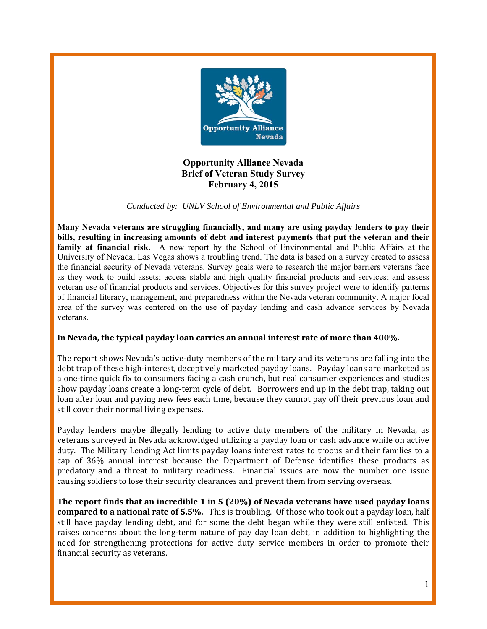

**Opportunity Alliance Nevada Brief of Veteran Study Survey February 4, 2015** 

*Conducted by: UNLV School of Environmental and Public Affairs* 

**Many Nevada veterans are struggling financially, and many are using payday lenders to pay their bills, resulting in increasing amounts of debt and interest payments that put the veteran and their family at financial risk.** A new report by the School of Environmental and Public Affairs at the University of Nevada, Las Vegas shows a troubling trend. The data is based on a survey created to assess the financial security of Nevada veterans. Survey goals were to research the major barriers veterans face as they work to build assets; access stable and high quality financial products and services; and assess veteran use of financial products and services. Objectives for this survey project were to identify patterns of financial literacy, management, and preparedness within the Nevada veteran community. A major focal area of the survey was centered on the use of payday lending and cash advance services by Nevada veterans.

### **In Nevada, the typical payday loan carries an annual interest rate of more than 400%.**

The report shows Nevada's active-duty members of the military and its veterans are falling into the debt trap of these high-interest, deceptively marketed payday loans. Payday loans are marketed as a one-time quick fix to consumers facing a cash crunch, but real consumer experiences and studies show payday loans create a long-term cycle of debt. Borrowers end up in the debt trap, taking out loan after loan and paying new fees each time, because they cannot pay off their previous loan and still cover their normal living expenses.

Payday lenders maybe illegally lending to active duty members of the military in Nevada, as veterans surveyed in Nevada acknowldged utilizing a payday loan or cash advance while on active duty. The Military Lending Act limits payday loans interest rates to troops and their families to a cap of 36% annual interest because the Department of Defense identifies these products as predatory and a threat to military readiness. Financial issues are now the number one issue causing soldiers to lose their security clearances and prevent them from serving overseas.

**The report finds that an incredible 1 in 5 (20%) of Nevada veterans have used payday loans compared to a national rate of 5.5%.** This is troubling. Of those who took out a payday loan, half still have payday lending debt, and for some the debt began while they were still enlisted. This raises concerns about the long-term nature of pay day loan debt, in addition to highlighting the need for strengthening protections for active duty service members in order to promote their financial security as veterans.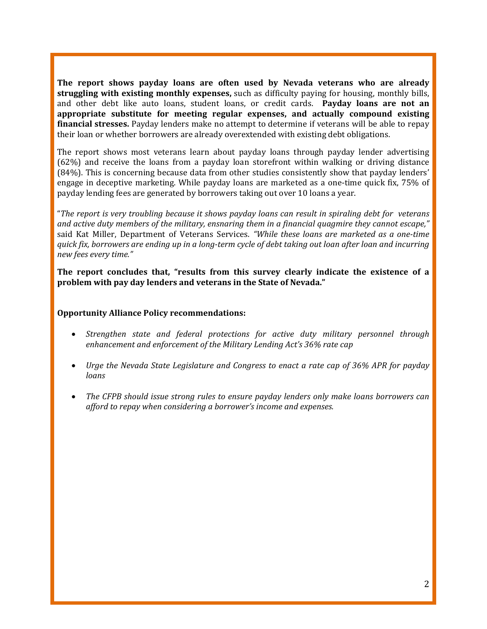**The report shows payday loans are often used by Nevada veterans who are already struggling** with existing monthly expenses, such as difficulty paying for housing, monthly bills, and other debt like auto loans, student loans, or credit cards. **Payday loans are not an appropriate substitute for meeting regular expenses, and actually compound existing financial stresses.** Payday lenders make no attempt to determine if veterans will be able to repay their loan or whether borrowers are already overextended with existing debt obligations.

The report shows most veterans learn about payday loans through payday lender advertising  $(62%)$  and receive the loans from a payday loan storefront within walking or driving distance  $(84%)$ . This is concerning because data from other studies consistently show that payday lenders' engage in deceptive marketing. While payday loans are marketed as a one-time quick fix, 75% of payday lending fees are generated by borrowers taking out over 10 loans a year.

"The report is very troubling because it shows payday loans can result in spiraling debt for veterans *and active duty members of the military, ensnaring them in a financial quagmire they cannot escape,"* said Kat Miller, Department of Veterans Services. *"While these loans are marketed as a one‐time* quick fix, borrowers are ending up in a long-term cycle of debt taking out loan after loan and incurring *new fees every time."* 

**The report concludes that, "results from this survey clearly indicate the existence of a problem with pay day lenders and veterans in the State of Nevada."**

#### **Opportunity Alliance Policy recommendations:**

- *Strengthen state and federal protections for active duty military personnel through enhancement and enforcement of the Military Lending Act's 36% rate cap*
- *Urge the Nevada State Legislature and Congress to enact a rate cap of 36% APR for payday loans*
- *The CFPB should issue strong rules to ensure payday lenders only make loans borrowers can afford to repay when considering a borrower's income and expenses.*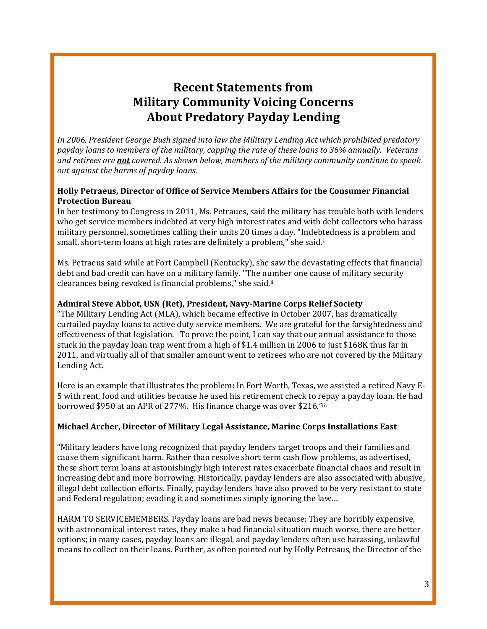# **Recent Statements from Military Community Voicing Concerns About Predatory Payday Lending**

*In 2006, President George Bush signed into law the Military Lending Act which prohibited predatory* payday loans to members of the military, capping the rate of these loans to 36% annually. Veterans *and retirees are not covered. As shown below, members of the military community continue to speak out against the harms of payday loans.* 

## **Holly Petraeus, Director of Office of Service Members Affairs for the Consumer Financial Protection Bureau**

In her testimony to Congress in 2011, Ms. Petraues, said the military has trouble both with lenders who get service members indebted at very high interest rates and with debt collectors who harass military personnel, sometimes calling their units 20 times a day. "Indebtedness is a problem and small, short-term loans at high rates are definitely a problem," she said.i

Ms. Petraeus said while at Fort Campbell (Kentucky), she saw the devastating effects that financial debt and bad credit can have on a military family. "The number one cause of military security clearances being revoked is financial problems," she said.<sup>ii</sup>

## **Admiral Steve Abbot, USN (Ret), President, Navy‐Marine Corps Relief Society**

"The Military Lending Act (MLA), which became effective in October 2007, has dramatically curtailed payday loans to active duty service members. We are grateful for the farsightedness and effectiveness of that legislation. To prove the point, I can say that our annual assistance to those stuck in the payday loan trap went from a high of \$1.4 million in 2006 to just \$168K thus far in 2011, and virtually all of that smaller amount went to retirees who are not covered by the Military Lending Act.

Here is an example that illustrates the problem: In Fort Worth, Texas, we assisted a retired Navy E-5 with rent, food and utilities because he used his retirement check to repay a payday loan. He had borrowed \$950 at an APR of 277%. His finance charge was over \$216."iii

## **Michael Archer, Director of Military Legal Assistance, Marine Corps Installations East**

"Military leaders have long recognized that payday lenders target troops and their families and cause them significant harm. Rather than resolve short term cash flow problems, as advertised, these short term loans at astonishingly high interest rates exacerbate financial chaos and result in increasing debt and more borrowing. Historically, payday lenders are also associated with abusive, illegal debt collection efforts. Finally, payday lenders have also proved to be very resistant to state and Federal regulation; evading it and sometimes simply ignoring the law...

HARM TO SERVICEMEMBERS. Payday loans are bad news because: They are horribly expensive, with astronomical interest rates, they make a bad financial situation much worse, there are better options; in many cases, payday loans are illegal, and payday lenders often use harassing, unlawful means to collect on their loans. Further, as often pointed out by Holly Petreaus, the Director of the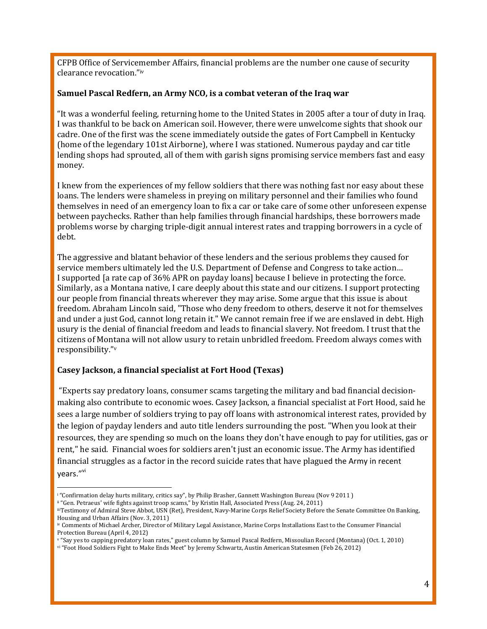CFPB Office of Servicemember Affairs, financial problems are the number one cause of security clearance revocation."iv

### **Samuel Pascal Redfern, an Army NCO, is a combat veteran of the Iraq war**

"It was a wonderful feeling, returning home to the United States in 2005 after a tour of duty in Iraq. I was thankful to be back on American soil. However, there were unwelcome sights that shook our cadre. One of the first was the scene immediately outside the gates of Fort Campbell in Kentucky (home of the legendary 101st Airborne), where I was stationed. Numerous payday and car title lending shops had sprouted, all of them with garish signs promising service members fast and easy money. 

I knew from the experiences of my fellow soldiers that there was nothing fast nor easy about these loans. The lenders were shameless in preying on military personnel and their families who found themselves in need of an emergency loan to fix a car or take care of some other unforeseen expense between paychecks. Rather than help families through financial hardships, these borrowers made problems worse by charging triple-digit annual interest rates and trapping borrowers in a cycle of debt. 

The aggressive and blatant behavior of these lenders and the serious problems they caused for service members ultimately led the U.S. Department of Defense and Congress to take action... I supported [a rate cap of 36% APR on payday loans] because I believe in protecting the force. Similarly, as a Montana native, I care deeply about this state and our citizens. I support protecting our people from financial threats wherever they may arise. Some argue that this issue is about freedom. Abraham Lincoln said, "Those who deny freedom to others, deserve it not for themselves and under a just God, cannot long retain it." We cannot remain free if we are enslaved in debt. High usury is the denial of financial freedom and leads to financial slavery. Not freedom. I trust that the citizens of Montana will not allow usury to retain unbridled freedom. Freedom always comes with responsibility."v

### **Casey Jackson, a financial specialist at Fort Hood (Texas)**

"Experts say predatory loans, consumer scams targeting the military and bad financial decisionmaking also contribute to economic woes. Casey Jackson, a financial specialist at Fort Hood, said he sees a large number of soldiers trying to pay off loans with astronomical interest rates, provided by the legion of payday lenders and auto title lenders surrounding the post. "When you look at their resources, they are spending so much on the loans they don't have enough to pay for utilities, gas or rent," he said. Financial woes for soldiers aren't just an economic issue. The Army has identified financial struggles as a factor in the record suicide rates that have plagued the Army in recent vears."Vi

  $^{\rm t}$  "Confirmation delay hurts military, critics say", by Philip Brasher, Gannett Washington Bureau (Nov 9 2011 )

ii "Gen. Petraeus' wife fights against troop scams," by Kristin Hall, Associated Press (Aug. 24, 2011)

iiiTestimony of Admiral Steve Abbot, USN (Ret), President, Navy-Marine Corps Relief Society Before the Senate Committee On Banking, Housing and Urban Affairs (Nov. 3, 2011)

iv Comments of Michael Archer, Director of Military Legal Assistance, Marine Corps Installations East to the Consumer Financial Protection Bureau (April 4, 2012)

v "Say yes to capping predatory loan rates," guest column by Samuel Pascal Redfern, Missoulian Record (Montana) (Oct. 1, 2010)<br>vi "Foot Hood Soldiers Fight to Make Ends Meet" by Jeremy Schwartz, Austin American Statesmen (